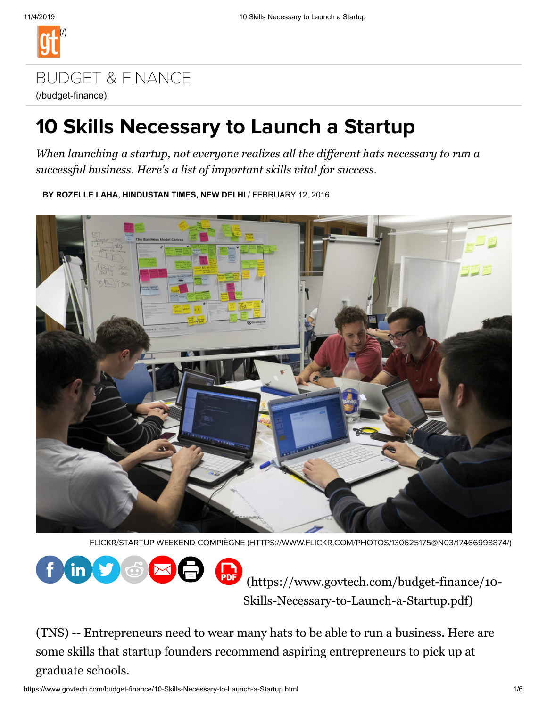

# [BUDGET & FINANCE](https://www.govtech.com/budget-finance) (/budget-finance)

# 10 Skills Necessary to Launch a Startup

*When launching a startup, not everyone realizes all the dif erent hats necessary to run a successful business. Here's a list of important skills vital for success.*

**BY ROZELLE LAHA, HINDUSTAN TIMES, NEW DELHI** / FEBRUARY 12, 2016



FLICKR/STARTUP WEEKEND COMPIÈGNE [\(HTTPS://WWW.FLICKR.COM/PHOTOS/130625175@N03/17466998874/\)](https://www.flickr.com/photos/130625175@N03/17466998874/)



[\(https://www.govtech.com/budget-finance/10-](https://www.govtech.com/budget-finance/10-Skills-Necessary-to-Launch-a-Startup.pdf) Skills-Necessary-to-Launch-a-Startup.pdf)

(TNS) -- Entrepreneurs need to wear many hats to be able to run a business. Here are some skills that startup founders recommend aspiring entrepreneurs to pick up at graduate schools.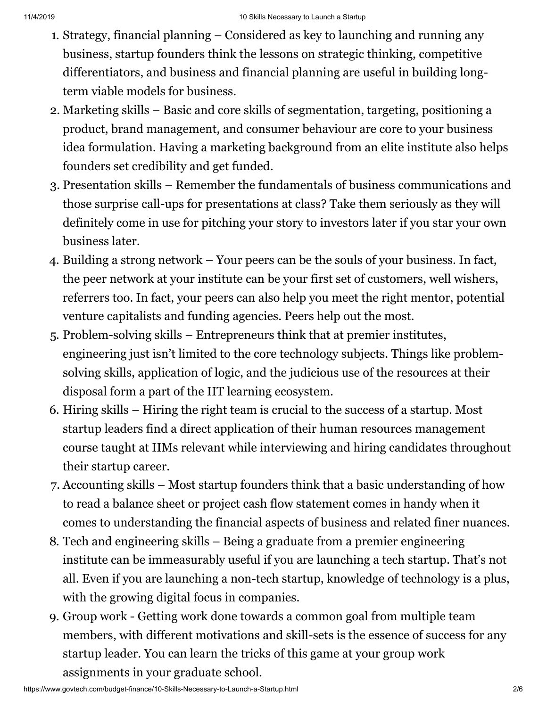- 1. Strategy, financial planning Considered as key to launching and running any business, startup founders think the lessons on strategic thinking, competitive differentiators, and business and financial planning are useful in building longterm viable models for business.
- 2. Marketing skills Basic and core skills of segmentation, targeting, positioning a product, brand management, and consumer behaviour are core to your business idea formulation. Having a marketing background from an elite institute also helps founders set credibility and get funded.
- 3. Presentation skills Remember the fundamentals of business communications and those surprise call-ups for presentations at class? Take them seriously as they will definitely come in use for pitching your story to investors later if you star your own business later.
- 4. Building a strong network Your peers can be the souls of your business. In fact, the peer network at your institute can be your first set of customers, well wishers, referrers too. In fact, your peers can also help you meet the right mentor, potential venture capitalists and funding agencies. Peers help out the most.
- 5. Problem-solving skills Entrepreneurs think that at premier institutes, engineering just isn't limited to the core technology subjects. Things like problemsolving skills, application of logic, and the judicious use of the resources at their disposal form a part of the IIT learning ecosystem.
- 6. Hiring skills Hiring the right team is crucial to the success of a startup. Most startup leaders find a direct application of their human resources management course taught at IIMs relevant while interviewing and hiring candidates throughout their startup career.
- 7. Accounting skills Most startup founders think that a basic understanding of how to read a balance sheet or project cash flow statement comes in handy when it comes to understanding the financial aspects of business and related finer nuances.
- 8. Tech and engineering skills Being a graduate from a premier engineering institute can be immeasurably useful if you are launching a tech startup. That's not all. Even if you are launching a non-tech startup, knowledge of technology is a plus, with the growing digital focus in companies.
- 9. Group work Getting work done towards a common goal from multiple team members, with different motivations and skill-sets is the essence of success for any startup leader. You can learn the tricks of this game at your group work assignments in your graduate school.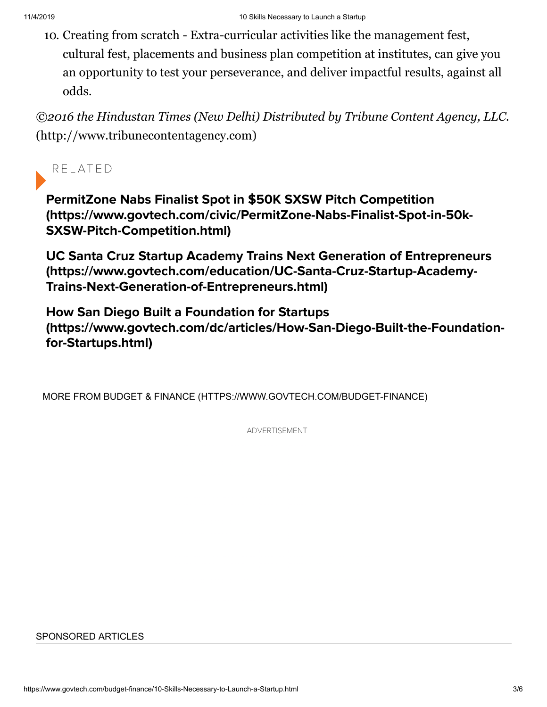10. Creating from scratch - Extra-curricular activities like the management fest, cultural fest, placements and business plan competition at institutes, can give you an opportunity to test your perseverance, and deliver impactful results, against all odds.

*©2016 the Hindustan Times (New Delhi) Distributed by Tribune Content Agency, LLC.* [\(http://www.tribunecontentagency.com\)](http://www.tribunecontentagency.com/)

### R E L AT ED

PermitZone Nabs Finalist Spot in \$50K SXSW Pitch Competition [\(https://www.govtech.com/civic/PermitZone-Nabs-Finalist-Spot-in-50k-](https://www.govtech.com/civic/PermitZone-Nabs-Finalist-Spot-in-50k-SXSW-Pitch-Competition.html)SXSW-Pitch-Competition.html)

UC Santa Cruz Startup Academy Trains Next Generation of Entrepreneurs [\(https://www.govtech.com/education/UC-Santa-Cruz-Startup-Academy-](https://www.govtech.com/education/UC-Santa-Cruz-Startup-Academy-Trains-Next-Generation-of-Entrepreneurs.html)Trains-Next-Generation-of-Entrepreneurs.html)

How San Diego Built a Foundation for Startups [\(https://www.govtech.com/dc/articles/How-San-Diego-Built-the-Foundation](https://www.govtech.com/dc/articles/How-San-Diego-Built-the-Foundation-for-Startups.html)for-Startups.html)

[MORE FROM BUDGET & FINANCE \(HTTPS://WWW.GOVTECH.COM/BUDGET-FINANCE\)](https://www.govtech.com/budget-finance)

ADVERTISEMENT

#### SPONSORED ARTICLES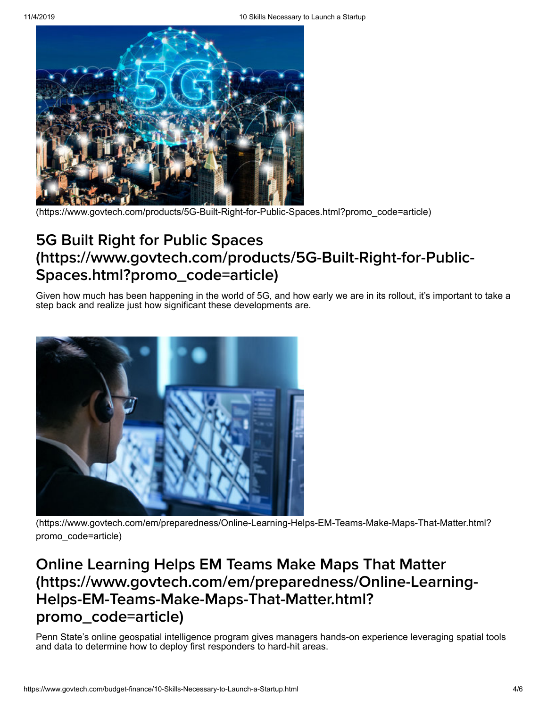

[\(https://www.govtech.com/products/5G-Built-Right-for-Public-Spaces.html?promo\\_code=article\)](https://www.govtech.com/products/5G-Built-Right-for-Public-Spaces.html?promo_code=article)

# 5G Built Right for Public Spaces [\(https://www.govtech.com/products/5G-Built-Right-for-Public-](https://www.govtech.com/products/5G-Built-Right-for-Public-Spaces.html?promo_code=article)Spaces.html?promo\_code=article)

Given how much has been happening in the world of 5G, and how early we are in its rollout, it's important to take a step back and realize just how significant these developments are.



[\(https://www.govtech.com/em/preparedness/Online-Learning-Helps-EM-Teams-Make-Maps-That-Matter.html?](https://www.govtech.com/em/preparedness/Online-Learning-Helps-EM-Teams-Make-Maps-That-Matter.html?promo_code=article) promo\_code=article)

# Online Learning Helps EM Teams Make Maps That Matter [\(https://www.govtech.com/em/preparedness/Online-Learning-](https://www.govtech.com/em/preparedness/Online-Learning-Helps-EM-Teams-Make-Maps-That-Matter.html?promo_code=article)Helps-EM-Teams-Make-Maps-That-Matter.html? promo\_code=article)

Penn State's online geospatial intelligence program gives managers hands-on experience leveraging spatial tools and data to determine how to deploy first responders to hard-hit areas.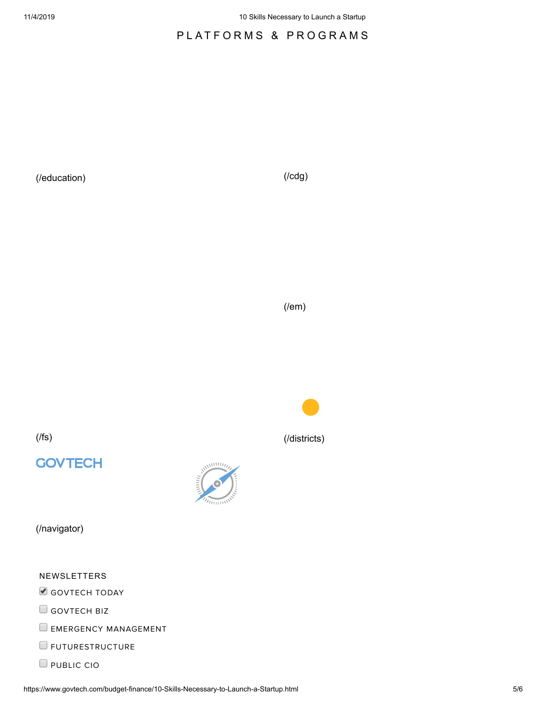#### PLATFORMS & PROGRAMS

[\(/education\)](https://www.govtech.com/education) [\(/cdg\)](https://www.govtech.com/cdg)

[\(/em\)](https://www.govtech.com/em)

[\(/fs\)](https://www.govtech.com/fs) [\(/districts\)](https://www.govtech.com/districts)

## **GOVTECH**



[\(/navigator\)](https://www.govtech.com/navigator)

NEWSLETTERS

GOVTECH TODAY

GOVTECH BIZ

 $\Box$  EMERGENCY MANAGEMENT

**E**FUTURESTRUCTURE

**PUBLIC CIO**